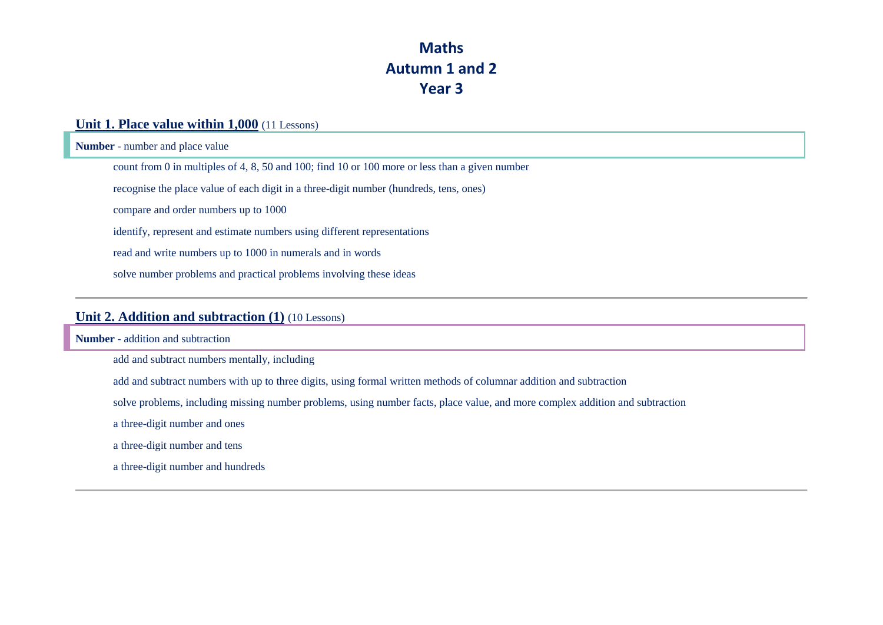# **Maths Autumn 1 and 2 Year 3**

#### **Unit 1. Place value within 1,000** (11 Lessons)

**Number** - number and place value

count from 0 in multiples of 4, 8, 50 and 100; find 10 or 100 more or less than a given number

recognise the place value of each digit in a three-digit number (hundreds, tens, ones)

compare and order numbers up to 1000

identify, represent and estimate numbers using different representations

read and write numbers up to 1000 in numerals and in words

solve number problems and practical problems involving these ideas

#### **Unit 2. Addition and subtraction (1)** (10 Lessons)

**Number** - addition and subtraction

add and subtract numbers mentally, including

add and subtract numbers with up to three digits, using formal written methods of columnar addition and subtraction

solve problems, including missing number problems, using number facts, place value, and more complex addition and subtraction

a three-digit number and ones

a three-digit number and tens

a three-digit number and hundreds